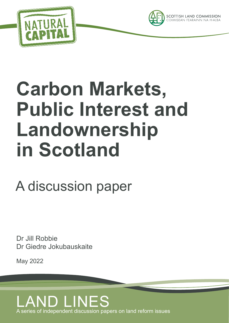



# **Carbon Markets, Public Interest and Landownership in Scotland**

## A discussion paper

Dr Jill Robbie Dr Giedre Jokubauskaite

May 2022

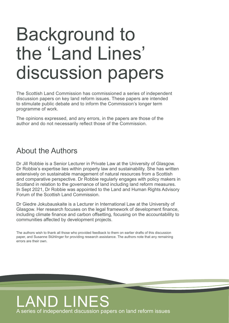## Background to the 'Land Lines' discussion papers

The Scottish Land Commission has commissioned a series of independent discussion papers on key land reform issues. These papers are intended to stimulate public debate and to inform the Commission's longer term programme of work.

The opinions expressed, and any errors, in the papers are those of the author and do not necessarily reflect those of the Commission.

### About the Authors

Dr Jill Robbie is a Senior Lecturer in Private Law at the University of Glasgow. Dr Robbie's expertise lies within property law and sustainability. She has written extensively on sustainable management of natural resources from a Scottish and comparative perspective. Dr Robbie regularly engages with policy makers in Scotland in relation to the governance of land including land reform measures. In Sept 2021, Dr Robbie was appointed to the Land and Human Rights Advisory Forum of the Scottish Land Commission.

Dr Giedre Jokubauskaite is a Lecturer in International Law at the University of Glasgow. Her research focuses on the legal framework of development finance, including climate finance and carbon offsetting, focusing on the accountability to communities affected by development projects.

The authors wish to thank all those who provided feedback to them on earlier drafts of this discussion paper, and Susanne Stühlinger for providing research assistance. The authors note that any remaining errors are their own.

## LAND LINES A series of independent discussion papers on land reform issues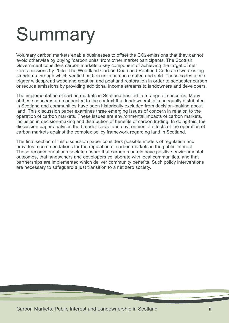# **Summary**

Voluntary carbon markets enable businesses to offset the CO<sub>2</sub> emissions that they cannot avoid otherwise by buying 'carbon units' from other market participants. The Scottish Government considers carbon markets a key component of achieving the target of net zero emissions by 2045. The Woodland Carbon Code and Peatland Code are two existing standards through which verified carbon units can be created and sold. These codes aim to trigger widespread woodland creation and peatland restoration in order to sequester carbon or reduce emissions by providing additional income streams to landowners and developers.

The implementation of carbon markets in Scotland has led to a range of concerns. Many of these concerns are connected to the context that landownership is unequally distributed in Scotland and communities have been historically excluded from decision-making about land. This discussion paper examines three emerging issues of concern in relation to the operation of carbon markets. These issues are environmental impacts of carbon markets, inclusion in decision-making and distribution of benefits of carbon trading. In doing this, the discussion paper analyses the broader social and environmental effects of the operation of carbon markets against the complex policy framework regarding land in Scotland.

The final section of this discussion paper considers possible models of regulation and provides recommendations for the regulation of carbon markets in the public interest. These recommendations seek to ensure that carbon markets have positive environmental outcomes, that landowners and developers collaborate with local communities, and that partnerships are implemented which deliver community benefits. Such policy interventions are necessary to safeguard a just transition to a net zero society.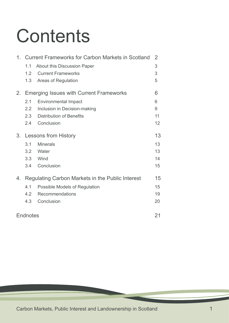## **Contents**

| $1_{\cdot}$ | <b>Current Frameworks for Carbon Markets in Scotland</b> |                                 | $\overline{2}$ |
|-------------|----------------------------------------------------------|---------------------------------|----------------|
|             | 1.1                                                      | About this Discussion Paper     | 3              |
|             | 1.2                                                      | <b>Current Frameworks</b>       | 3              |
|             | 1.3                                                      | <b>Areas of Regulation</b>      | 5              |
| 2.          | <b>Emerging Issues with Current Frameworks</b>           |                                 | 6              |
|             | 2.1                                                      | <b>Environmental Impact</b>     | 6              |
|             | 2.2                                                      | Inclusion in Decision-making    | 9              |
|             | 2.3                                                      | <b>Distribution of Benefits</b> | 11             |
|             | 2.4                                                      | Conclusion                      | 12             |
| 3.          | <b>Lessons from History</b>                              |                                 | 13             |
|             | 3.1                                                      | <b>Minerals</b>                 | 13             |
|             | 3.2                                                      | Water                           | 13             |
|             |                                                          | 3.3 Wind                        | 14             |
|             | 3.4                                                      | Conclusion                      | 15             |
| 4.          | Regulating Carbon Markets in the Public Interest         |                                 | 15             |
|             | 4.1                                                      | Possible Models of Regulation   | 15             |
|             | 4.2                                                      | Recommendations                 | 19             |
|             | 4.3                                                      | Conclusion                      | 20             |
|             | Endnotes                                                 |                                 |                |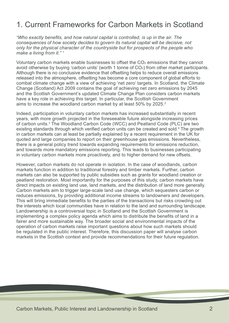## <span id="page-4-0"></span>1. Current Frameworks for Carbon Markets in Scotland

*"Who exactly benefits, and how natural capital is controlled, is up in the air. The consequences of how society decides to govern its natural capital will be decisive, not only for the physical character of the countryside but for prospects of the people who make a living from it."* [1](#page-23-0)

Voluntary carbon markets enable businesses to offset the CO<sub>2</sub> emissions that they cannot avoid otherwise by buying 'carbon units' (worth 1 tonne of  $CO<sub>2</sub>$ ) from other market participants. Although there is no conclusive evidence that offsetting helps to reduce overall emissions released into the atmosphere, offsetting has become a core component of global efforts to combat climate change with a view of achieving 'net zero' targets. In Scotland, the Climate Change (Scotland) Act 2009 contains the goal of achieving net zero emissions by 2045 and the Scottish Government's updated Climate Change Plan considers carbon markets have a key role in achieving this target. In particular, the Scottish Government aims to increase the woodland carbon market by at least 50% by [2](#page-23-0)025.<sup>2</sup>

Indeed, participation in voluntary carbon markets has increased substantially in recent years, with more growth projected in the foreseeable future alongside increasing prices of carbon units.<sup>3</sup> The Woodland Carbon Code (WCC) and Peatland Code (PLC) are two existing standards through which verified carbon units can be created and sold.<sup>[4](#page-23-0)</sup> The growth in carbon markets can at least be partially explained by a recent requirement in the UK for quoted and large companies to report on their greenhouse gas emissions. Nevertheless, there is a general policy trend towards expanding requirements for emissions reduction, and towards more mandatory emissions reporting. This leads to businesses participating in voluntary carbon markets more proactively, and to higher demand for new offsets.

However, carbon markets do not operate in isolation. In the case of woodlands, carbon markets function in addition to traditional forestry and timber markets. Further, carbon markets can also be supported by public subsidies such as grants for woodland creation or peatland restoration. Most importantly for the purposes of this study, carbon markets have direct impacts on existing land use, land markets, and the distribution of land more generally. Carbon markets aim to trigger large-scale land use change, which sequesters carbon or reduces emissions, by providing additional income streams to landowners and developers. This will bring immediate benefits to the parties of the transactions but risks crowding out the interests which local communities have in relation to the land and surrounding landscape. Landownership is a controversial topic in Scotland and the Scottish Government is implementing a complex policy agenda which aims to distribute the benefits of land in a fairer and more sustainable way. The broader social and environmental impacts of the operation of carbon markets raise important questions about how such markets should be regulated in the public interest. Therefore, this discussion paper will analyse carbon markets in the Scottish context and provide recommendations for their future regulation.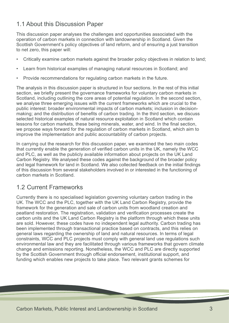#### <span id="page-5-0"></span>1.1 About this Discussion Paper

This discussion paper analyses the challenges and opportunities associated with the operation of carbon markets in connection with landownership in Scotland. Given the Scottish Government's policy objectives of land reform, and of ensuring a just transition to net zero, this paper will:

- Critically examine carbon markets against the broader policy objectives in relation to land;
- Learn from historical examples of managing natural resources in Scotland; and
- Provide recommendations for regulating carbon markets in the future.

The analysis in this discussion paper is structured in four sections. In the rest of this initial section, we briefly present the governance frameworks for voluntary carbon markets in Scotland, including outlining the core areas of potential regulation. In the second section, we analyse three emerging issues with the current frameworks which are crucial to the public interest: broader environmental impacts of carbon markets; inclusion in decisionmaking; and the distribution of benefits of carbon trading. In the third section, we discuss selected historical examples of natural resource exploitation in Scotland which contain lessons for carbon markets, these being minerals, water, and wind. In the final section, we propose ways forward for the regulation of carbon markets in Scotland, which aim to improve the implementation and public accountability of carbon projects.

In carrying out the research for this discussion paper, we examined the two main codes that currently enable the generation of verified carbon units in the UK, namely the WCC and PLC, as well as the publicly available information about projects on the UK Land Carbon Registry. We analysed these codes against the background of the broader policy and legal framework for land in Scotland. We also collected feedback on the initial findings of this discussion from several stakeholders involved in or interested in the functioning of carbon markets in Scotland.

#### 1.2 Current Frameworks

Currently there is no specialised legislation governing voluntary carbon trading in the UK. The WCC and the PLC, together with the UK Land Carbon Registry, provide the framework for the generation and sale of carbon units from woodland creation and peatland restoration. The registration, validation and verification processes create the carbon units and the UK Land Carbon Registry is the platform through which these units are sold. However, these codes have no independent legal authority. Carbon trading has been implemented through transactional practice based on contracts, and this relies on general laws regarding the ownership of land and natural resources. In terms of legal constraints, WCC and PLC projects must comply with general land use regulations such environmental law and they are facilitated through various frameworks that govern climate change and emissions reporting. Nonetheless, the WCC and PLC are directly supported by the Scottish Government through official endorsement, institutional support, and funding which enables new projects to take place. Two relevant grants schemes for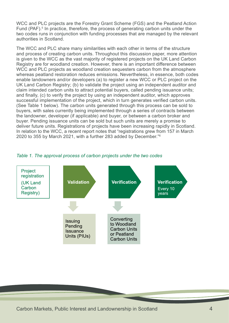<span id="page-6-0"></span>WCC and PLC projects are the Forestry Grant Scheme (FGS) and the Peatland Action Fund (PAF).<sup>5</sup> In practice, therefore, the process of generating carbon units under the two codes runs in conjunction with funding processes that are managed by the relevant authorities in Scotland.

The WCC and PLC share many similarities with each other in terms of the structure and process of creating carbon units. Throughout this discussion paper, more attention is given to the WCC as the vast majority of registered projects on the UK Land Carbon Registry are for woodland creation. However, there is an important difference between WCC and PLC projects as woodland creation sequesters carbon from the atmosphere whereas peatland restoration reduces emissions. Nevertheless, in essence, both codes enable landowners and/or developers (a) to register a new WCC or PLC project on the UK Land Carbon Registry; (b) to validate the project using an independent auditor and claim intended carbon units to attract potential buyers, called pending issuance units; and finally, (c) to verify the project by using an independent auditor, which approves successful implementation of the project, which in turn generates verified carbon units. (See Table 1 below). The carbon units generated through this process can be sold to buyers, with sales currently being implemented through a series of contracts between the landowner, developer (if applicable) and buyer, or between a carbon broker and buyer. Pending issuance units can be sold but such units are merely a promise to deliver future units. Registrations of projects have been increasing rapidly in Scotland. In relation to the WCC, a recent report notes that "registrations grew from 157 in March 2020 to 355 by March 2021, with a further 283 added by December."[6](#page-23-0)



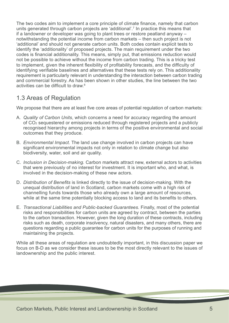<span id="page-7-0"></span>The two codes aim to implement a core principle of climate finance, namely that carbon units generated through carbon projects are 'additional'.<sup>[7](#page-23-0)</sup> In practice this means that if a landowner or developer was going to plant trees or restore peatland anyway – notwithstanding the potential income from carbon markets – then such project is not 'additional' and should not generate carbon units. Both codes contain explicit tests to identify the 'additionality' of proposed projects. The main requirement under the two codes is financial additionality. This means, simply put, that emissions reduction would not be possible to achieve without the income from carbon trading. This is a tricky test to implement, given the inherent flexibility of profitability forecasts, and the difficulty of identifying verifiable baselines and alternatives that these tests rely on. This additionality requirement is particularly relevant in understanding the interaction between carbon trading and commercial forestry. As has been shown in other studies, the line between the two activities can be difficult to draw.<sup>[8](#page-23-0)</sup>

#### 1.3 Areas of Regulation

We propose that there are at least five core areas of potential regulation of carbon markets:

- A. *Quality of Carbon Units*, which concerns a need for accuracy regarding the amount of CO2 sequestered or emissions reduced through registered projects and a publicly recognised hierarchy among projects in terms of the positive environmental and social outcomes that they produce.
- B. *Environmental Impact.* The land use change involved in carbon projects can have significant environmental impacts not only in relation to climate change but also biodiversity, water, soil and air quality.
- C. *Inclusion in Decision-making.* Carbon markets attract new, external actors to activities that were previously of no interest for investment. It is important who, and what, is involved in the decision-making of these new actors.
- D. *Distribution of Benefits* is linked directly to the issue of decision-making. With the unequal distribution of land in Scotland, carbon markets come with a high risk of channelling funds towards those who already own a large amount of resources, while at the same time potentially blocking access to land and its benefits to others.
- E. *Transactional Liabilities and Public-backed Guarantees.* Finally, most of the potential risks and responsibilities for carbon units are agreed by contract, between the parties to the carbon transaction. However, given the long duration of these contracts, including risks such as death, corporate insolvency, natural disasters, and many others, there are questions regarding a public guarantee for carbon units for the purposes of running and maintaining the projects.

While all these areas of regulation are undoubtedly important, in this discussion paper we focus on B-D as we consider these issues to be the most directly relevant to the issues of landownership and the public interest.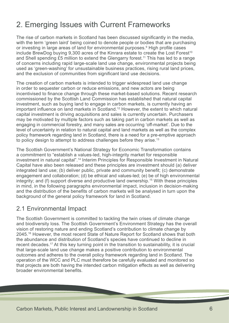## <span id="page-8-0"></span>2. Emerging Issues with Current Frameworks

The rise of carbon markets in Scotland has been discussed significantly in the media, with the term 'green laird' being coined to denote people or bodies that are purchasing or investing in large areas of land for environmental purposes.<sup>[9](#page-23-0)</sup> High profile cases include BrewDog buying 9,300 acres of the Kinrara estate to create the Lost Forest<sup>[10](#page-23-0)</sup> and Shell spending £5 million to extend the Glengarry forest.<sup>11</sup> This has led to a range of concerns including rapid large-scale land use change, environmental projects being used as 'green-washing' for unsustainable business practices, rising rural land prices, and the exclusion of communities from significant land use decisions.

The creation of carbon markets is intended to trigger widespread land use change in order to sequester carbon or reduce emissions, and new actors are being incentivised to finance change through these market-based solutions. Recent research commissioned by the Scottish Land Commission has established that natural capital investment, such as buying land to engage in carbon markets, is currently having an important influence on land markets in Scotland.<sup>[12](#page-23-0)</sup> However, the extent to which natural capital investment is driving acquisitions and sales is currently uncertain. Purchasers may be motivated by multiple factors such as taking part in carbon markets as well as engaging in commercial forestry, and many sales are occurring 'off-market'. Due to the level of uncertainty in relation to natural capital and land markets as well as the complex policy framework regarding land in Scotland, there is a need for a pre-emptive approach to policy design to attempt to address challenges before they arise.<sup>13</sup>

The Scottish Government's National Strategy for Economic Transformation contains a commitment to "establish a values-led, high-integrity market for responsible investment in natural capital"[.14](#page-24-0) Interim Principles for Responsible Investment in Natural Capital have also been released and these principles are investment should (a) deliver integrated land use; (b) deliver public, private and community benefit; (c) demonstrate engagement and collaboration; (d) be ethical and values-led; (e) be of high environmental integrity; and (f) support diverse and productive land ownership.[15](#page-24-0) With these principles in mind, in the following paragraphs environmental impact, inclusion in decision-making and the distribution of the benefits of carbon markets will be analysed in turn upon the background of the general policy framework for land in Scotland.

#### 2.1 Environmental Impact

The Scottish Government is committed to tackling the twin crises of climate change and biodiversity loss. The Scottish Government's Environment Strategy has the overall vision of restoring nature and ending Scotland's contribution to climate change by 2045[.16](#page-24-0) However, the most recent State of Nature Report for Scotland shows that both the abundance and distribution of Scotland's species have continued to decline in recent decades.<sup>17</sup> At this key turning point in the transition to sustainability, it is crucial that large-scale land use change makes a positive contribution to environmental outcomes and adheres to the overall policy framework regarding land in Scotland. The operation of the WCC and PLC must therefore be carefully evaluated and monitored so that projects are both having the intended carbon mitigation effects as well as delivering broader environmental benefits.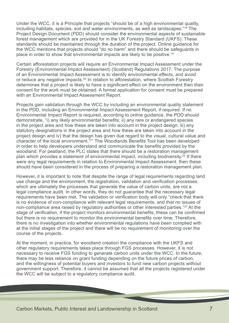<span id="page-9-0"></span>Under the WCC, it is a Principle that projects "should be of a high environmental quality, including habitats, species, soil and water environments, as well as landscapes."[18](#page-24-0) The Project Design Document (PDD) should consider the environmental aspects of sustainable forest management which are provided for in the UK Forestry Standard (UKFS). These standards should be maintained through the duration of the project. Online guidance for the WCC mentions that projects should "do no harm" and there should be safeguards in place in order to show that environmental impacts are likely to be positive.[19](#page-24-0)

Certain afforestation projects will require an Environmental Impact Assessment under the Forestry (Environmental Impact Assessment) (Scotland) Regulations 2017. The purpose of an Environmental Impact Assessment is to identify environmental effects, and avoid or reduce any negative impacts.<sup>20</sup> In relation to afforestation, where Scottish Forestry determines that a project is likely to have a significant effect on the environment then their consent for the work must be obtained. A formal application for consent must be prepared with an Environmental Impact Assessment Report.

Projects gain validation through the WCC by including an environmental quality statement in the PDD, including an Environmental Impact Assessment Report, if required. If no Environmental Impact Report is required, according to online guidance, the PDD should demonstrate, "i) any likely environmental benefits; ii) any rare or endangered species in the project area and how these are taken into account in the project design; iii) any statutory designations in the project area and how these are taken into account in the project design and iv) that the design has given due regard to the visual, cultural value and character of the local environment.<sup>"[21](#page-24-0)</sup> The Woodlands Benefits Tool has been developed in order to help developers understand and communicate the benefits provided by the woodland. For peatland, the PLC states that there should be a restoration management plan which provides a statement of environmental impact, including biodiversity.[22](#page-24-0) If there were any legal requirements in relation to Environmental Impact Assessment, then these should have been considered in the process of preparing a restoration management plan.

However, it is important to note that despite the range of legal requirements regarding land use change and the environment, the registration, validation and verification processes, which are ultimately the processes that generate the value of carbon units, are not a legal compliance audit. In other words, they do not guarantee that the necessary legal requirements have been met. The validation or verification body will only "check that there is no evidence of non-compliance with relevant legal requirements, and that no issues of non-compliance area raised by regulatory authorities or other interested parties.["23](#page-24-0) At the stage of verification, if the project monitors environmental benefits, these can be confirmed but there is no requirement to monitor the environmental benefits over time. Therefore, there is no investigation into whether environmental regulations have been complied with at the initial stages of the project and there will be no requirement of monitoring over the course of the projects.

At the moment, in practice, for woodland creation the compliance with the UKFS and other regulatory requirements takes place through FGS processes. However, it is not necessary to receive FGS funding to generate carbon units under the WCC. In the future, there may be less reliance on grant funding depending on the future prices of carbon, and the willingness of potential buyers and investors to fund new carbon projects without government support. Therefore, it cannot be assumed that all the projects registered under the WCC will be subject to a regulatory compliance audit.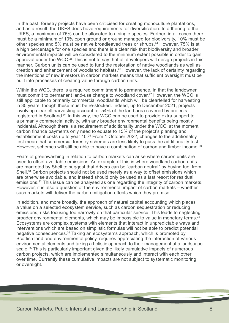<span id="page-10-0"></span>In the past, forestry projects have been criticised for creating monoculture plantations, and as a result, the UKFS does have requirements for diversification. In adhering to the UKFS, a maximum of 75% can be allocated to a single species. Further, in all cases there must be a minimum of 10% open ground or ground managed for biodiversity, 10% must be other species and 5% must be native broadleaved trees or shrubs.<sup>24</sup> However, 75% is still a high percentage for one species and there is a clear risk that biodiversity and broader environmental impacts will be considered to the minimum extent possible in order to gain approval under the WCC.<sup>25</sup> This is not to say that all developers will design projects in this manner. Carbon units can be used to fund the restoration of native woodlands as well as creation and enhancement of woodland habitats.[26](#page-24-0) However, the lack of certainty regarding the intentions of new investors in carbon markets means that sufficient oversight must be built into processes of creating value through carbon units.

Within the WCC, there is a required commitment to permanence, in that the landowner must commit to permanent land-use change to woodland cover.<sup>[27](#page-24-0)</sup> However, the WCC is still applicable to primarily commercial woodlands which will be clearfelled for harvesting in 35 years, though these must be re-stocked. Indeed, up to December 2021, projects involving clearfell harvesting account for 54% of the land area covered by projects registered in Scotland.[28](#page-24-0) In this way, the WCC can be used to provide extra support to a primarily commercial activity, with any broader environmental benefits being mostly incidental. Although there is a requirement of additionality under the WCC, at the moment carbon finance payments only need to equate to 15% of the project's planting and establishment costs up to year 10.<sup>29</sup> From 1 October 2022, changes to the additionality test mean that commercial forestry schemes are less likely to pass the additionality test. However, schemes will still be able to have a combination of carbon and timber income.<sup>30</sup>

Fears of greenwashing in relation to carbon markets can arise where carbon units are used to offset avoidable emissions. An example of this is where woodland carbon units are marketed by Shell to suggest that drivers can be "carbon neutral" by buying fuel from Shell.<sup>31</sup> Carbon projects should not be used merely as a way to offset emissions which are otherwise avoidable, and instead should only be used as a last resort for residual emissions.<sup>32</sup> This issue can be analysed as one regarding the integrity of carbon markets. However, it is also a question of the environmental impact of carbon markets – whether such markets will deliver the carbon mitigation effects which they promise.

In addition, and more broadly, the approach of natural capital accounting which places a value on a selected ecosystem service, such as carbon sequestration or reducing emissions, risks focusing too narrowly on that particular service. This leads to neglecting broader environmental elements, which may be impossible to value in monetary terms.<sup>33</sup> Ecosystems are complex systems with elements that interact in unpredictable ways and interventions which are based on simplistic formulas will not be able to predict potential negative consequences.[34](#page-24-0) Taking an ecosystems approach, which is promoted by Scottish land and environmental policy, requires appreciating the interaction of various environmental elements and taking a holistic approach to their management at a landscape scale.<sup>35</sup> This is particularly important given the likely cumulative impacts of numerous carbon projects, which are implemented simultaneously and interact with each other over time. Currently these cumulative impacts are not subject to systematic monitoring or oversight.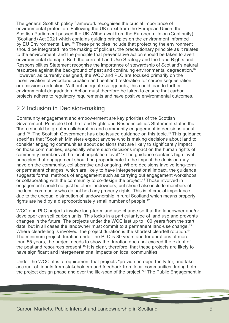<span id="page-11-0"></span>The general Scottish policy framework recognises the crucial importance of environmental protection. Following the UK's exit from the European Union, the Scottish Parliament passed the UK Withdrawal from the European Union (Continuity) (Scotland) Act 2021 which contains guiding principles on the environment informed by EU Environmental Law.<sup>36</sup> These principles include that protecting the environment should be integrated into the making of policies, the precautionary principle as it relates to the environment, and the principle that preventative action should be taken to avert environmental damage. Both the current Land Use Strategy and the Land Rights and Responsibilities Statement recognise the importance of stewardship of Scotland's natural resources against the background of past and continuing environmental degradation.<sup>[37](#page-25-0)</sup> However, as currently designed, the WCC and PLC are focused primarily on the incentivisation of woodland creation and peatland restoration for carbon sequestration or emissions reduction. Without adequate safeguards, this could lead to further environmental degradation. Action must therefore be taken to ensure that carbon projects adhere to regulatory requirements and have positive environmental outcomes.

#### 2.2 Inclusion in Decision-making

Community engagement and empowerment are key priorities of the Scottish Government. Principle 6 of the Land Rights and Responsibilities Statement states that "there should be greater collaboration and community engagement in decisions about land."<sup>38</sup> The Scottish Government has also issued quidance on this topic.<sup>39</sup> This quidance specifies that "Scottish Ministers expect anyone who is making decisions about land to consider engaging communities about decisions that are likely to significantly impact on those communities, especially where such decisions impact on the human rights of community members at the local population level"[.40](#page-25-0) The guidance contains high level principles that engagement should be proportionate to the impact the decision may have on the community, collaborative and ongoing. Where decisions involve long-term or permanent changes, which are likely to have intergenerational impact, the guidance suggests formal methods of engagement such as carrying out engagement workshops or collaborating with the community to co-design the project[.41](#page-25-0) Those involved in engagement should not just be other landowners, but should also include members of the local community who do not hold any property rights. This is of crucial importance due to the unequal distribution of landownership in rural Scotland which means property rights are held by a disproportionately small number of people.<sup>[42](#page-25-0)</sup>

WCC and PLC projects involve long-term land use change so that the landowner and/or developer can sell carbon units. This locks in a particular type of land use and prevents changes in the future. The projects under the WCC last up to 100 years from the start date, but in all cases the landowner must commit to a permanent land-use change.<sup>43</sup> Where clearfelling is involved, the project duration is the shortest clearfell rotation.<sup>44</sup> The minimum project duration under the PLC is 30 years and for durations of more than 55 years, the project needs to show the duration does not exceed the extent of the peatland resources present.<sup>45</sup> It is clear, therefore, that these projects are likely to have significant and intergenerational impacts on local communities.

Under the WCC, it is a requirement that projects "provide an opportunity for, and take account of, inputs from stakeholders and feedback from local communities during both the project design phase and over the life-span of the project."<sup>46</sup> The Public Engagement in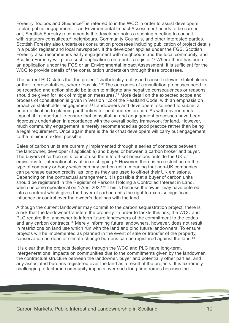<span id="page-12-0"></span>Forestry Toolbox and Guidance<sup>[47](#page-25-0)</sup> is referred to in the WCC in order to assist developers to plan public engagement. If an Environmental Impact Assessment needs to be carried out, Scottish Forestry recommends the developer holds a scoping meeting to consult with statutory consultees,<sup>48</sup> neighbours, Community Councils, and other interested parties. Scottish Forestry also undertakes consultation processes including publication of project details in a public register and local newspaper. If the developer applies under the FGS, Scottish Forestry also recommends early engagement with neighbours and the local community, and Scottish Forestry will place such applications on a public register.<sup>[49](#page-25-0)</sup> Where there has been an application under the FGS or an Environmental Impact Assessment, it is sufficient for the WCC to provide details of the consultation undertaken through these processes.

The current PLC states that the project "shall identify, notify and consult relevant stakeholders or their representatives, where feasible."[50](#page-25-0) The outcomes of consultation processes need to be recorded and action should be taken to mitigate any negative consequences or reasons should be given for lack of mitigation measures.<sup>51</sup> More detail on the expected scope and process of consultation is given in Version 1.2 of the Peatland Code, with an emphasis on proactive stakeholder engagement.[52](#page-25-0) Landowners and developers also need to submit a prior notification to planning authorities for peatland restoration. As with environmental impact, it is important to ensure that consultation and engagement processes have been rigorously undertaken in accordance with the overall policy framework for land. However, much community engagement is merely recommended as good practice rather than being a legal requirement. Once again there is the risk that developers will carry out engagement to the minimum extent possible.

Sales of carbon units are currently implemented through a series of contracts between the landowner, developer (if applicable) and buyer, or between a carbon broker and buyer. The buyers of carbon units cannot use them to off-set emissions outside the UK or emissions for international aviation or shipping.<sup>53</sup> However, there is no restriction on the type of company or body which can buy carbon units, meaning that non-UK companies can purchase carbon credits, as long as they are used to off-set their UK emissions. Depending on the contractual arrangement, it is possible that a buyer of carbon units should be registered in the Register of Persons Holding a Controlled Interest in Land, which became operational on 1 April 2022.<sup>[54](#page-25-0)</sup> This is because the owner may have entered into a contract which gives the buyer of carbon units the right to exercise significant influence or control over the owner's dealings with the land.

Although the current landowner may commit to the carbon sequestration project, there is a risk that the landowner transfers the property. In order to tackle this risk, the WCC and PLC require the landowner to inform future landowners of the commitment to the codes and any carbon contracts.<sup>55</sup> Merely informing future landowners, however, does not result in restrictions on land use which run with the land and bind future landowners. To ensure projects will be implemented as planned in the event of sale or transfer of the property, conservation burdens or climate change burdens can be registered against the land[.56](#page-25-0)

It is clear that the projects designed through the WCC and PLC have long-term, intergenerational impacts on communities due to the commitments given by the landowner, the contractual structure between the landowner, buyer and potentially other parties, and any associated burdens registered over the land as a result of the projects. It is extremely challenging to factor in community impacts over such long timeframes because the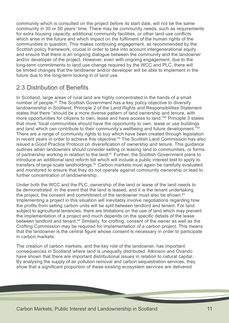<span id="page-13-0"></span>community which is consulted on the project before its start date, will not be the same community in 30 or 50 years' time. There may be community needs, such as requirements for extra housing capacity, additional community facilities, or other land use conflicts which arise in the future and which impact on the fulfilment of the human rights of the communities in question. This makes continuing engagement, as recommended by the Scottish policy framework, crucial in order to take into account intergenerational equity and ensure that there is an ongoing dialogue between the community and the landowner and/or developer of the project. However, even with ongoing engagement, due to the long-term commitments to land use change required by the WCC and PLC, there will be limited changes that the landowner and/or developer will be able to implement in the future due to the long-term locking in of land use.

#### 2.3 Distribution of Benefits

In Scotland, large areas of rural land are highly concentrated in the hands of a small number of people.<sup>57</sup> The Scottish Government has a key policy objective to diversify landownership in Scotland. Principle 2 of the Land Rights and Responsibilities Statement states that there "should be a more diverse pattern of land ownership and tenure, with more opportunities for citizens to own, lease and have access to land.["58](#page-25-0) Principle 3 states that more "local communities should have the opportunity to own, lease or use buildings and land which can contribute to their community's wellbeing and future development."<sup>59</sup> There are a range of community rights to buy which have been created through legislation in recent years in order to achieve this objective.<sup>60</sup> The Scottish Land Commission has also issued a Good Practice Protocol on diversification of ownership and tenure. This guidance outlines when landowners should consider selling or leasing land to communities, or forms of partnership working in relation to the land.<sup>61</sup> Further, the Scottish Government plans to introduce an additional land reform bill which will include a public interest test to apply to transfers of large scale landholdings.[62](#page-26-0) Carbon markets must again be carefully evaluated and monitored to ensure that they do not operate against community ownership or lead to further concentration of landownership.

Under both the WCC and the PLC, ownership of the land or lease of the land needs to be demonstrated. In the event that the land is leased, and it is the tenant undertaking the project, the consent and commitment of the landowner must also be shown.<sup>63</sup> Implementing a project in this situation will inevitably involve negotiations regarding how the profits from selling carbon units will be split between landlord and tenant. For land subject to agricultural tenancies, there are limitations on the use of land which may prevent the implementation of a project and much depends on the specific details of the lease between landlord and tenant.<sup>64</sup> Similarly, for crofting, consent of the owner as well as the Crofting Commission may be required for implementation of a carbon project. This means that the landowner is the central figure whose consent is necessary in order to participate in carbon markets.

The creation of carbon markets, and the key role of the landowner, has important consequences in Scotland where land is unequally distributed. Atkinson and Ovando have shown that there are important distributional issues in relation to natural capital. By analysing the supply of air pollution removal and carbon sequestration services, they show that a significant proportion of these existing ecosystem services are delivered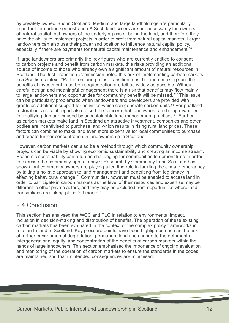<span id="page-14-0"></span>by privately owned land in Scotland. Medium and large landholdings are particularly important for carbon sequestration.<sup>65</sup> Such landowners are not necessarily the owners of natural capital, but owners of the underlying asset, being the land, and therefore they have the ability to implement projects in order to profit from natural capital markets. Larger landowners can also use their power and position to influence natural capital policy, especially if there are payments for natural capital maintenance and enhancement.<sup>[66](#page-26-0)</sup>

If large landowners are primarily the key figures who are currently entitled to consent to carbon projects and benefit from carbon markets, this risks providing an additional source of income to those who already own a significant amount of natural resources in Scotland. The Just Transition Commission noted this risk of implementing carbon markets in a Scottish context: "Part of ensuring a just transition must be about making sure the benefits of investment in carbon sequestration are felt as widely as possible. Without careful design and meaningful engagement there is a risk that benefits may flow mainly to large landowners and opportunities for community benefit will be missed."<sup>67</sup> This issue can be particularly problematic when landowners and developers are provided with grants as additional support for activities which can generate carbon units.<sup>68</sup> For peatland restoration, a recent report also raised the concern that landowners are being rewarded for rectifying damage caused by unsustainable land management practices.<sup>69</sup> Further, as carbon markets make land in Scotland an attractive investment, companies and other bodies are incentivised to purchase land which results in rising rural land prices. These factors can combine to make land even more expensive for local communities to purchase and create further concentration in landownership in Scotland.

However, carbon markets can also be a method through which community ownership projects can be viable by showing economic sustainability and creating an income stream. Economic sustainability can often be challenging for communities to demonstrate in order to exercise the community rights to buy.<sup>70</sup> Research by Community Land Scotland has shown that community owners are playing a leading role in tackling the climate emergency by taking a holistic approach to land management and benefiting from legitimacy in effecting behavioural change.<sup>71</sup> Communities, however, must be enabled to access land in order to participate in carbon markets as the level of their resources and expertise may be different to other private actors, and they may be excluded from opportunities where land transactions are taking place 'off market'.

#### 2.4 Conclusion

This section has analysed the WCC and PLC in relation to environmental impact, inclusion in decision-making and distribution of benefits. The operation of these existing carbon markets has been evaluated in the context of the complex policy frameworks in relation to land in Scotland. Key pressure points have been highlighted such as the risk of further environmental degradation, permanent land use change to the detriment of intergenerational equity, and concentration of the benefits of carbon markets within the hands of large landowners. This section emphasised the importance of ongoing evaluation and monitoring of the operation of carbon markets to ensure the standards in the codes are maintained and that unintended consequences are minimised.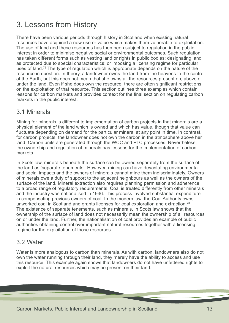### <span id="page-15-0"></span>3. Lessons from History

There have been various periods through history in Scotland when existing natural resources have acquired a new use or value which makes them vulnerable to exploitation. The use of land and these resources has then been subject to regulation in the public interest in order to minimise negative social or environmental outcomes. Such regulation has taken different forms such as vesting land or rights in public bodies; designating land as protected due to special characteristics; or imposing a licensing regime for particular uses of land.<sup>[72](#page-26-0)</sup> The type of regulation which is appropriate depends on the nature of the resource in question. In theory, a landowner owns the land from the heavens to the centre of the Earth, but this does not mean that she owns all the resources present on, above or under the land. Even if she does own the resource, there are often significant restrictions on the exploitation of that resource. This section outlines three examples which contain lessons for carbon markets and provides context for the final section on regulating carbon markets in the public interest.

#### 3.1 Minerals

Mining for minerals is different to implementation of carbon projects in that minerals are a physical element of the land which is owned and which has value, though that value can fluctuate depending on demand for the particular mineral at any point in time. In contrast, for carbon projects, the landowner does not own the carbon in the atmosphere above her land. Carbon units are generated through the WCC and PLC processes. Nevertheless, the ownership and regulation of minerals has lessons for the implementation of carbon markets.

In Scots law, minerals beneath the surface can be owned separately from the surface of the land as 'separate tenements'. However, mining can have devastating environmental and social impacts and the owners of minerals cannot mine them indiscriminately. Owners of minerals owe a duty of support to the adjacent neighbours as well as the owners of the surface of the land. Mineral extraction also requires planning permission and adherence to a broad range of regulatory requirements. Coal is treated differently from other minerals and the industry was nationalised in 1946. This process involved substantial expenditure in compensating previous owners of coal. In the modern law, the Coal Authority owns unworked coal in Scotland and grants licenses for coal exploration and extraction.[73](#page-26-0) The existence of separate tenements, such as minerals, in Scots law shows that the ownership of the surface of land does not necessarily mean the ownership of all resources on or under the land. Further, the nationalisation of coal provides an example of public authorities obtaining control over important natural resources together with a licensing regime for the exploitation of those resources.

#### 3.2 Water

Water is more analogous to carbon than minerals. As with carbon, landowners also do not own the water running through their land, they merely have the ability to access and use this resource. This example again shows that landowners do not have unfettered rights to exploit the natural resources which may be present on their land.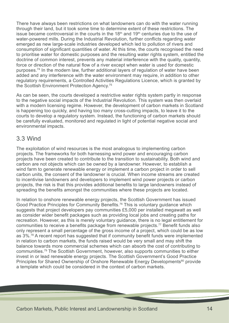<span id="page-16-0"></span>There have always been restrictions on what landowners can do with the water running through their land, but it took some time to determine extent of these restrictions. The issue became controversial in the courts in the  $18<sup>th</sup>$  and  $19<sup>th</sup>$  centuries due to the use of water-powered mills. During the Industrial Revolution, further conflicts regarding water emerged as new large-scale industries developed which led to pollution of rivers and consumption of significant quantities of water. At this time, the courts recognised the need to prioritise water for domestic purposes and the resulting water rights system, entitled the doctrine of common interest, prevents any material interference with the quality, quantity, force or direction of the natural flow of a river except when water is used for domestic purposes[.74](#page-26-0) In the modern law, further additional layers of regulation of water have been added and any interference with the water environment may require, in addition to other regulatory requirements, a Controlled Activities Regulations Licence, which is granted by the Scottish Environment Protection Agency.[75](#page-26-0)

As can be seen, the courts developed a restrictive water rights system partly in response to the negative social impacts of the Industrial Revolution. This system was then overlaid with a modern licensing regime. However, the development of carbon markets in Scotland is happening too quickly, and having too many cross-cutting impacts, to leave it to the courts to develop a regulatory system. Instead, the functioning of carbon markets should be carefully evaluated, monitored and regulated in light of potential negative social and environmental impacts.

#### 3.3 Wind

The exploitation of wind resources is the most analogous to implementing carbon projects. The frameworks for both harnessing wind power and encouraging carbon projects have been created to contribute to the transition to sustainability. Both wind and carbon are not objects which can be owned by a landowner. However, to establish a wind farm to generate renewable energy or implement a carbon project in order to sell carbon units, the consent of the landowner is crucial. When income streams are created to incentivise landowners and developers to implement wind power projects or carbon projects, the risk is that this provides additional benefits to large landowners instead of spreading the benefits amongst the communities where these projects are located.

In relation to onshore renewable energy projects, the Scottish Government has issued Good Practice Principles for Community Benefits.<sup>76</sup> This is voluntary guidance which suggests that project developers pay communities £5,000 per installed megawatt as well as consider wider benefit packages such as providing local jobs and creating paths for recreation. However, as this is merely voluntary guidance, there is no legal entitlement for communities to receive a benefits package from renewable projects.[77](#page-26-0) Benefit funds also only represent a small percentage of the gross income of a project, which could be as low as 3%.<sup>[78](#page-26-0)</sup> A recent report has suggested that if community benefit funds were implemented in relation to carbon markets, the funds raised would be very small and may shift the balance towards more commercial schemes which can absorb the cost of contributing to communities.[79](#page-26-0) The Scottish Government, however, also supports communities to either invest in or lead renewable energy projects. The Scottish Government's Good Practice Principles for Shared Ownership of Onshore Renewable Energy Developments<sup>80</sup> provide a template which could be considered in the context of carbon markets.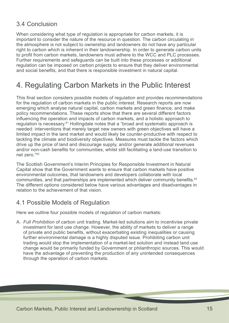#### <span id="page-17-0"></span>3.4 Conclusion

When considering what type of regulation is appropriate for carbon markets, it is important to consider the nature of the resource in question. The carbon circulating in the atmosphere is not subject to ownership and landowners do not have any particular right to carbon which is inherent in their landownership. In order to generate carbon units to profit from carbon markets, landowners must adhere to the WCC and PLC processes. Further requirements and safeguards can be built into these processes or additional regulation can be imposed on carbon projects to ensure that they deliver environmental and social benefits, and that there is responsible investment in natural capital.

### 4. Regulating Carbon Markets in the Public Interest

This final section considers possible models of regulation and provides recommendations for the regulation of carbon markets in the public interest. Research reports are now emerging which analyse natural capital, carbon markets and green finance, and make policy recommendations. These reports show that there are several different factors influencing the operation and impacts of carbon markets, and a holistic approach to regulation is necessary.<sup>[81](#page-27-0)</sup> Hollingdale notes that a "broad and systematic approach is needed: interventions that merely target new owners with green objectives will have a limited impact in the land market and would likely be counter-productive with respect to tackling the climate and biodiversity objectives. Measures must tackle the factors which drive up the price of land and discourage supply, and/or generate additional revenues and/or non-cash benefits for communities, whilst still facilitating a land-use transition to net zero.["82](#page-27-0)

The Scottish Government's Interim Principles for Responsible Investment in Natural Capital show that the Government wants to ensure that carbon markets have positive environmental outcomes, that landowners and developers collaborate with local communities, and that partnerships are implemented which deliver community benefits.<sup>83</sup> The different options considered below have various advantages and disadvantages in relation to the achievement of that vision.

#### 4.1 Possible Models of Regulation

Here we outline four possible models of regulation of carbon markets:

A. *Full Prohibition* of carbon unit trading. Market-led solutions aim to incentivise private investment for land use change. However, the ability of markets to deliver a range of private and public benefits, without exacerbating existing inequalities or causing further environmental damage is a highly disputed issue. Prohibiting carbon unit trading would stop the implementation of a market-led solution and instead land use change would be primarily funded by Government or philanthropic sources. This would have the advantage of preventing the production of any unintended consequences through the operation of carbon markets.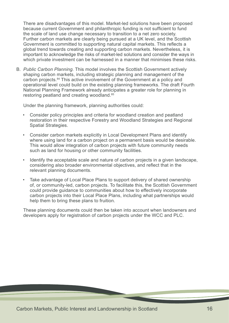<span id="page-18-0"></span>There are disadvantages of this model. Market-led solutions have been proposed because current Government and philanthropic funding is not sufficient to fund the scale of land use change necessary to transition to a net zero society. Further carbon markets are clearly being pursued at a UK level, and the Scottish Government is committed to supporting natural capital markets. This reflects a global trend towards creating and supporting carbon markets. Nevertheless, it is important to acknowledge the risks of market-led solutions and consider the ways in which private investment can be harnessed in a manner that minimises these risks.

B. *Public Carbon Planning.* This model involves the Scottish Government actively shaping carbon markets, including strategic planning and management of the carbon projects.[84](#page-27-0) This active involvement of the Government at a policy and operational level could build on the existing planning frameworks. The draft Fourth National Planning Framework already anticipates a greater role for planning in restoring peatland and creating woodland.[85](#page-27-0) 

Under the planning framework, planning authorities could:

- Consider policy principles and criteria for woodland creation and peatland restoration in their respective Forestry and Woodland Strategies and Regional Spatial Strategies.
- Consider carbon markets explicitly in Local Development Plans and identify where using land for a carbon project on a permanent basis would be desirable. This would allow integration of carbon projects with future community needs such as land for housing or other community facilities.
- Identify the acceptable scale and nature of carbon projects in a given landscape, considering also broader environmental objectives, and reflect that in the relevant planning documents.
- Take advantage of Local Place Plans to support delivery of shared ownership of, or community-led, carbon projects. To facilitate this, the Scottish Government could provide guidance to communities about how to effectively incorporate carbon projects into their Local Place Plans, including what partnerships would help them to bring these plans to fruition.

These planning documents could then be taken into account when landowners and developers apply for registration of carbon projects under the WCC and PLC.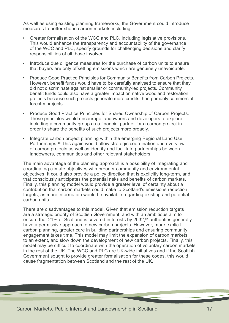<span id="page-19-0"></span>As well as using existing planning frameworks, the Government could introduce measures to better shape carbon markets including:

- Greater formalisation of the WCC and PLC, including legislative provisions. This would enhance the transparency and accountability of the governance of the WCC and PLC, specify grounds for challenging decisions and clarify responsibilities of all those involved.
- Introduce due diligence measures for the purchase of carbon units to ensure that buyers are only offsetting emissions which are genuinely unavoidable.
- Produce Good Practice Principles for Community Benefits from Carbon Projects. However, benefit funds would have to be carefully analysed to ensure that they did not discriminate against smaller or community-led projects. Community benefit funds could also have a greater impact on native woodland restoration projects because such projects generate more credits than primarily commercial forestry projects.
- Produce Good Practice Principles for Shared Ownership of Carbon Projects. These principles would encourage landowners and developers to explore including a community group as a financial partner for a carbon project in order to share the benefits of such projects more broadly.
- Integrate carbon project planning within the emerging Regional Land Use Partnerships.<sup>86</sup> This again would allow strategic coordination and overview of carbon projects as well as identify and facilitate partnerships between landowners, communities and other relevant stakeholders.

The main advantage of the planning approach is a possibility of integrating and coordinating climate objectives with broader community and environmental objectives. It could also provide a policy direction that is explicitly long-term, and that consciously anticipates the potential risks and benefits of carbon markets. Finally, this planning model would provide a greater level of certainty about a contribution that carbon markets could make to Scotland's emissions reduction targets, as more information would be available regarding existing and potential carbon units.

There are disadvantages to this model. Given that emission reduction targets are a strategic priority of Scottish Government, and with an ambitious aim to ensure that 21% of Scotland is covered in forests by 2032,<sup>87</sup> authorities generally have a permissive approach to new carbon projects. However, more explicit carbon planning, greater care in building partnerships and ensuring community engagement takes time. This model may limit the expansion of carbon markets to an extent, and slow down the development of new carbon projects. Finally, this model may be difficult to coordinate with the operation of voluntary carbon markets in the rest of the UK. The WCC and PLC are UK-wide initiatives and if the Scottish Government sought to provide greater formalisation for these codes, this would cause fragmentation between Scotland and the rest of the UK.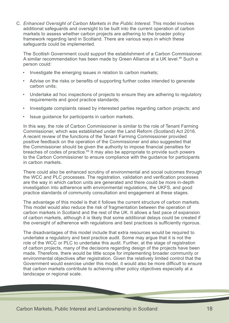<span id="page-20-0"></span>C. *Enhanced Oversight of Carbon Markets in the Public Interest.* This model involves additional safeguards and oversight to be built into the current operation of carbon markets to assess whether carbon projects are adhering to the broader policy framework regarding land in Scotland. There are various ways in which these safeguards could be implemented.

The Scottish Government could support the establishment of a Carbon Commissioner. A similar recommendation has been made by Green Alliance at a UK level.<sup>88</sup> Such a person could:

- Investigate the emerging issues in relation to carbon markets;
- Advise on the risks or benefits of supporting further codes intended to generate carbon units;
- Undertake ad hoc inspections of projects to ensure they are adhering to regulatory requirements and good practice standards;
- Investigate complaints raised by interested parties regarding carbon projects; and
- Issue quidance for participants in carbon markets.

In this way, the role of Carbon Commissioner is similar to the role of Tenant Farming Commissioner, which was established under the Land Reform (Scotland) Act 2016. A recent review of the functions of the Tenant Farming Commissioner provided positive feedback on the operation of the Commissioner and also suggested that the Commissioner should be given the authority to impose financial penalties for breaches of codes of practice.<sup>89</sup> It may also be appropriate to provide such powers to the Carbon Commissioner to ensure compliance with the guidance for participants in carbon markets.

There could also be enhanced scrutiny of environmental and social outcomes through the WCC and PLC processes. The registration, validation and verification processes are the way in which carbon units are generated and there could be more in-depth investigation into adherence with environmental regulations, the UKFS, and good practice standards of community consultation and engagement at these stages.

The advantage of this model is that it follows the current structure of carbon markets. This model would also reduce the risk of fragmentation between the operation of carbon markets in Scotland and the rest of the UK. It allows a fast pace of expansion of carbon markets, although it is likely that some additional delays could be created if the oversight of adherence with regulations and best practices is sufficiently rigorous.

The disadvantages of this model include that extra resources would be required to undertake a regulatory and best practice audit. Some may argue that it is not the role of the WCC or PLC to undertake this audit. Further, at the stage of registration of carbon projects, many of the decisions regarding design of the projects have been made. Therefore, there would be little scope for implementing broader community or environmental objectives after registration. Given the relatively limited control that the Government would exercise under this model, it would also be more difficult to ensure that carbon markets contribute to achieving other policy objectives especially at a landscape or regional scale.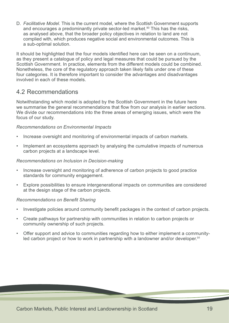<span id="page-21-0"></span>D. *Facilitative Model.* This is the current model, where the Scottish Government supports and encourages a predominantly private sector-led market.<sup>90</sup> This has the risks, as analysed above, that the broader policy objectives in relation to land are not complied with, which produces negative social and environmental outcomes. This is a sub-optimal solution.

It should be highlighted that the four models identified here can be seen on a continuum, as they present a catalogue of policy and legal measures that could be pursued by the Scottish Government. In practice, elements from the different models could be combined. Nonetheless, the core of the regulatory approach taken likely falls under one of these four categories. It is therefore important to consider the advantages and disadvantages involved in each of these models.

#### 4.2 Recommendations

Notwithstanding which model is adopted by the Scottish Government in the future here we summarise the general recommendations that flow from our analysis in earlier sections. We divide our recommendations into the three areas of emerging issues, which were the focus of our study.

#### *Recommendations on Environmental Impacts*

- Increase oversight and monitoring of environmental impacts of carbon markets.
- Implement an ecosystems approach by analysing the cumulative impacts of numerous carbon projects at a landscape level.

#### *Recommendations on Inclusion in Decision-making*

- Increase oversight and monitoring of adherence of carbon projects to good practice standards for community engagement.
- Explore possibilities to ensure intergenerational impacts on communities are considered at the design stage of the carbon projects.

#### *Recommendations on Benefit Sharing*

- Investigate policies around community benefit packages in the context of carbon projects.
- Create pathways for partnership with communities in relation to carbon projects or community ownership of such projects.
- Offer support and advice to communities regarding how to either implement a communityled carbon project or how to work in partnership with a landowner and/or developer.<sup>91</sup>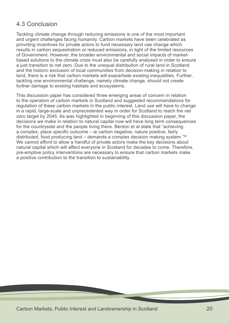#### <span id="page-22-0"></span>4.3 Conclusion

Tackling climate change through reducing emissions is one of the most important and urgent challenges facing humanity. Carbon markets have been celebrated as providing incentives for private actors to fund necessary land use change which results in carbon sequestration or reduced emissions, in light of the limited resources of Government. However, the broader environmental and social impacts of marketbased solutions to the climate crisis must also be carefully analysed in order to ensure a just transition to net zero. Due to the unequal distribution of rural land in Scotland and the historic exclusion of local communities from decision-making in relation to land, there is a risk that carbon markets will exacerbate existing inequalities. Further, tackling one environmental challenge, namely climate change, should not create further damage to existing habitats and ecosystems.

This discussion paper has considered three emerging areas of concern in relation to the operation of carbon markets in Scotland and suggested recommendations for regulation of these carbon markets in the public interest. Land use will have to change in a rapid, large-scale and unprecedented way in order for Scotland to reach the net zero target by 2045. As was highlighted in beginning of this discussion paper, the decisions we make in relation to natural capital now will have long term consequences for the countryside and the people living there. Benton et al state that "achieving a complex, place specific outcome – ie carbon negative, nature positive, fairly distributed, food producing land – demands a complex decision making system."[92](#page-27-0)  We cannot afford to allow a handful of private actors make the key decisions about natural capital which will affect everyone in Scotland for decades to come. Therefore, pre-emptive policy interventions are necessary to ensure that carbon markets make a positive contribution to the transition to sustainability.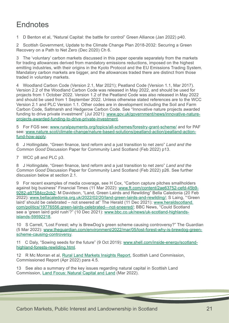### <span id="page-23-0"></span>**Endnotes**

[1](#page-4-0) D Benton et al, "Natural Capital: the battle for control" Green Alliance (Jan 2022) p40.

[2](#page-4-0) Scottish Government, Update to the Climate Change Plan 2018-2032: Securing a Green Recovery on a Path to Net Zero (Dec 2020) Ch 6.

[3](#page-4-0) The 'voluntary' carbon markets discussed in this paper operate separately from the markets for trading allowances derived from mandatory emissions reductions, imposed on the highest emitting industries, with their origins in the Kyoto Protocol and the EU Emissions Trading System. Mandatory carbon markets are bigger, and the allowances traded there are distinct from those traded in voluntary markets.

[4](#page-4-0) Woodland Carbon Code (Version 2.1, Mar 2021); Peatland Code (Version 1.1, Mar 2017). Version 2.2 of the Woodland Carbon Code was released in May 2022, and should be used for projects from 1 October 2022. Version 1.2 of the Peatland Code was also released in May 2022 and should be used from 1 September 2022. Unless otherwise stated references are to the WCC Version 2.1 and PLC Version 1.1. Other codes are in development including the Soil and Farm Carbon Code, Saltmarsh and Hedgerow Carbon Code. See "Innovative nature projects awarded funding to drive private investment" (Jul 2021): [www.gov.uk/government/news/innovative-nature](https://www.gov.uk/government/news/innovative-nature-projects-awarded-funding-to-drive-private-investment)[projects-awarded-funding-to-drive-private-investment](https://www.gov.uk/government/news/innovative-nature-projects-awarded-funding-to-drive-private-investment).

[5](#page-6-0) For FGS see: [www.ruralpayments.org/topics/all-schemes/forestry-grant-scheme/](https://www.ruralpayments.org/topics/all-schemes/forestry-grant-scheme/) and for PAF see: [www.nature.scot/climate-change/nature-based-solutions/peatland-action/peatland-action](https://www.nature.scot/climate-change/nature-based-solutions/peatland-action/peatland-action-fund-how-apply)[fund-how-apply](https://www.nature.scot/climate-change/nature-based-solutions/peatland-action/peatland-action-fund-how-apply).

[6](#page-6-0) J Hollingdale, "Green finance, land reform and a just transition to net zero" *Land and the Common Good* Discussion Paper for Community Land Scotland (Feb 2022) p13.

[7](#page-7-0) WCC p8 and PLC p3.

[8](#page-7-0) J Hollingdale, "Green finance, land reform and a just transition to net zero" *Land and the Common Good* Discussion Paper for Community Land Scotland (Feb 2022) p26. See further discussion below at section 2.1.

[9](#page-8-0) For recent examples of media coverage, see H Cox, "Carbon capture pitches smallholders against big business" Financial Times (11 Mar 2022): [www.ft.com/content/2ae63752-cefd-45b9-](https://www.ft.com/content/2ae63752-cefd-45b9-9282-a97584cc2cb2) [9282-a97584cc2cb2](https://www.ft.com/content/2ae63752-cefd-45b9-9282-a97584cc2cb2); M Davidson, "Land, Green Lairds and Rewilding" Bella Caledonia (20 Feb 2022): [www.bellacaledonia.org.uk/2022/02/20/land-green-lairds-and-rewilding/](https://bellacaledonia.org.uk/2022/02/20/land-green-lairds-and-rewilding/); S Laing, "'Green laird' should be celebrated – not sneered at" The Herald (11 Dec 2021): [www.heraldscotland.](https://www.heraldscotland.com/politics/19776556.green-lairds-celebrated---not-sneered/) [com/politics/19776556.green-lairds-celebrated---not-sneered/;](https://www.heraldscotland.com/politics/19776556.green-lairds-celebrated---not-sneered/) BBC News, "Could Scotland see a 'green laird gold rush'?" (10 Dec 2021): [www.bbc.co.uk/news/uk-scotland-highlands](https://www.bbc.co.uk/news/uk-scotland-highlands-islands-59592218)[islands-59592218](https://www.bbc.co.uk/news/uk-scotland-highlands-islands-59592218).

[10](#page-8-0) S Carrell, "Lost Forest; why is BrewDog's green scheme causing controversy?" The Guardian (5 Mar 2022): [www.theguardian.com/environment/2022/mar/05/lost-forest-why-is-brewdog-green](https://www.theguardian.com/environment/2022/mar/05/lost-forest-why-is-brewdog-green-scheme-causing-controversy)[scheme-causing-controversy](https://www.theguardian.com/environment/2022/mar/05/lost-forest-why-is-brewdog-green-scheme-causing-controversy).

[11](#page-8-0) C Daly, "Sowing seeds for the future" (9 Oct 2019): [www.shell.com/inside-energy/scotland](https://www.shell.com/inside-energy/scotland-highland-forests-rewilding.html)[highland-forests-rewilding.html](https://www.shell.com/inside-energy/scotland-highland-forests-rewilding.html).

[12](#page-8-0) R Mc Morran et al, [Rural Land Markets Insights Report](https://www.landcommission.gov.scot/downloads/62543b9498bb1_Rural%20Land%20Market%20Insights%20Report%20April%202022.pdf), Scottish Land Commission, Commissioned Report (Apr 2022) para 4.5.

[13](#page-8-0) See also a summary of the key issues regarding natural capital in Scottish Land Commission, [Land Focus: Natural Capital and Land](https://www.landcommission.gov.scot/downloads/62307f3cad154_Land%20Focus_Natural%20Capital%20March%202022.pdf) (Mar 2022).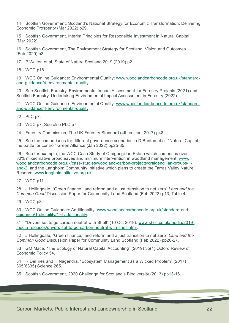<span id="page-24-0"></span>[14](#page-8-0) Scottish Government, Scotland's National Strategy for Economic Transformation: Delivering Economic Prosperity (Mar 2022) p29.

[15](#page-8-0) Scottish Government, Interim Principles for Responsible Investment in Natural Capital (Mar 2022).

[16](#page-8-0) Scottish Government, The Environment Strategy for Scotland: Vision and Outcomes (Feb 2020) p3.

[17](#page-8-0) P Walton et al, State of Nature Scotland 2019 (2019) p2.

[18](#page-9-0) WCC p18.

[19](#page-9-0) WCC Online Guidance: Environmental Quality: [www.woodlandcarboncode.org.uk/standard](https://www.woodlandcarboncode.org.uk/standard-and-guidance/4-environmental-quality)[and-guidance/4-environmental-quality.](https://www.woodlandcarboncode.org.uk/standard-and-guidance/4-environmental-quality)

[20](#page-9-0) See Scottish Forestry, Environmental Impact Assessment for Forestry Projects (2021) and Scottish Forestry, Undertaking Environmental Impact Assessment in Forestry (2022).

[21](#page-9-0) WCC Online Guidance: Environmental Quality: [www.woodlandcarboncode.org.uk/standard](https://www.woodlandcarboncode.org.uk/standard-and-guidance/4-environmental-quality)[and-guidance/4-environmental-quality.](https://www.woodlandcarboncode.org.uk/standard-and-guidance/4-environmental-quality)

[22](#page-9-0) PLC p7.

[23](#page-9-0) WCC p7. See also PLC p7.

[24](#page-10-0) Forestry Commission, The UK Forestry Standard (4th edition, 2017) p48.

[25](#page-10-0) See the comparisons for different governance scenarios in D Benton et al, "Natural Capital: the battle for control" Green Alliance (Jan 2022) pp25-35.

[26](#page-10-0) See for example, the WCC Case Study of Craigengillan Estate which comprises over 80% mixed native broadleaves and minimum intervention in woodland management: [www.](https://www.woodlandcarboncode.org.uk/case-studies/woodland-carbon-projects/craigengillan-groups-1-and-2) [woodlandcarboncode.org.uk/case-studies/woodland-carbon-projects/craigengillan-groups-1](https://www.woodlandcarboncode.org.uk/case-studies/woodland-carbon-projects/craigengillan-groups-1-and-2) [and-2](https://www.woodlandcarboncode.org.uk/case-studies/woodland-carbon-projects/craigengillan-groups-1-and-2); and the Langholm Community Initiative which plans to create the Tarras Valley Nature Reserve: [www.langholminitiative.org.uk](https://www.langholminitiative.org.uk/).

[27](#page-10-0) WCC p11.

[28](#page-10-0) J Hollingdale, "Green finance, land reform and a just transition to net zero" *Land and the Common Good* Discussion Paper for Community Land Scotland (Feb 2022) p13, Table 4.

[29](#page-10-0) WCC p8.

[30](#page-10-0) WCC Online Guidance: Additionality: [www.woodlandcarboncode.org.uk/standard-and](https://www.woodlandcarboncode.org.uk/standard-and-guidance/1-eligibility/1-6-additionality)[guidance/1-eligibility/1-6-additionality.](https://www.woodlandcarboncode.org.uk/standard-and-guidance/1-eligibility/1-6-additionality)

[31](#page-10-0) "Drivers set to go carbon neutral with Shell" (10 Oct 2019): [www.shell.co.uk/media/2019](https://www.shell.co.uk/media/2019-media-releases/drivers-set-to-go-carbon-neutral-with-shell.html) [media-releases/drivers-set-to-go-carbon-neutral-with-shell.html.](https://www.shell.co.uk/media/2019-media-releases/drivers-set-to-go-carbon-neutral-with-shell.html)

[32](#page-10-0) J Hollingdale, "Green finance, land reform and a just transition to net zero" *Land and the Common Good* Discussion Paper for Community Land Scotland (Feb 2022) pp26-27.

[33](#page-10-0) GM Mace, "The Ecology of Natural Capital Accounting" (2019) 35(1) Oxford Review of Economic Policy 54.

[34](#page-10-0) R DeFries and H Nagendra, "Ecosystem Management as a Wicked Problem" (2017) 365(6335) Science 265.

[35](#page-10-0) Scottish Government, 2020 Challenge for Scotland's Biodiversity (2013) pp13-16.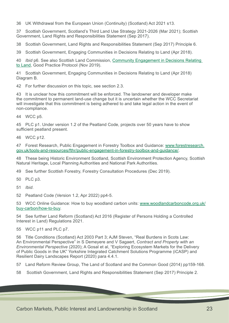<span id="page-25-0"></span>[36](#page-11-0) UK Withdrawal from the European Union (Continuity) (Scotland) Act 2021 s13.

[37](#page-11-0) Scottish Government, Scotland's Third Land Use Strategy 2021-2026 (Mar 2021); Scottish Government, Land Rights and Responsibilities Statement (Sep 2017).

[38](#page-11-0) Scottish Government, Land Rights and Responsibilities Statement (Sep 2017) Principle 6.

[39](#page-11-0) Scottish Government, Engaging Communities in Decisions Relating to Land (Apr 2018).

[40](#page-11-0) *Ibid* p6. See also Scottish Land Commission, [Community Engagement in Decisions Relating](https://www.landcommission.gov.scot/downloads/5dde684465594_GOOD%20PRACTICE%20PROTOCOL_web%2019.11.19.pdf)  [to Land,](https://www.landcommission.gov.scot/downloads/5dde684465594_GOOD%20PRACTICE%20PROTOCOL_web%2019.11.19.pdf) Good Practice Protocol (Nov 2019).

[41](#page-11-0) Scottish Government, Engaging Communities in Decisions Relating to Land (Apr 2018) Diagram B.

[42](#page-11-0) For further discussion on this topic, see section 2.3.

[43](#page-11-0) It is unclear how this commitment will be enforced. The landowner and developer make the commitment to permanent land-use change but it is uncertain whether the WCC Secretariat will investigate that this commitment is being adhered to and take legal action in the event of non-compliance.

[44](#page-11-0) WCC p5.

[45](#page-11-0) PLC p1. Under version 1.2 of the Peatland Code, projects over 50 years have to show sufficient peatland present.

[46](#page-11-0) WCC p12.

[47](#page-12-0) Forest Research, Public Engagement in Forestry Toolbox and Guidance: [www.forestresearch.](https://www.forestresearch.gov.uk/tools-and-resources/fthr/public-engagement-in-forestry-toolbox-and-guidance/) [gov.uk/tools-and-resources/fthr/public-engagement-in-forestry-toolbox-and-guidance/.](https://www.forestresearch.gov.uk/tools-and-resources/fthr/public-engagement-in-forestry-toolbox-and-guidance/)

[48](#page-12-0) These being Historic Environment Scotland, Scottish Environment Protection Agency, Scottish Natural Heritage, Local Planning Authorities and National Park Authorities.

[49](#page-12-0) See further Scottish Forestry, Forestry Consultation Procedures (Dec 2019).

[50](#page-12-0) PLC p3.

[51](#page-12-0) *Ibid*.

[52](#page-12-0) Peatland Code (Version 1.2, Apr 2022) pp4-5.

[53](#page-12-0) WCC Online Guidance: How to buy woodland carbon units: [www.woodlandcarboncode.org.uk/](https://www.woodlandcarboncode.org.uk/buy-carbon/how-to-buy) [buy-carbon/how-to-buy.](https://www.woodlandcarboncode.org.uk/buy-carbon/how-to-buy)

[54](#page-12-0) See further Land Reform (Scotland) Act 2016 (Register of Persons Holding a Controlled Interest in Land) Regulations 2021.

[55](#page-12-0) WCC p11 and PLC p7.

[56](#page-12-0) Title Conditions (Scotland) Act 2003 Part 3; AJM Steven, "Real Burdens in Scots Law: An Environmental Perspective" in S Demeyere and V Sagaert, *Contract and Property with an Environmental Perspective* (2020); A Gosal et al, "Exploring Ecosystem Markets for the Delivery of Public Goods in the UK" Yorkshire Integrated Catchment Solutions Programme (iCASP) and Resilient Dairy Landscapes Report (2020) para 4.4.1.

[57](#page-13-0) Land Reform Review Group, The Land of Scotland and the Common Good (2014) pp159-168.

[58](#page-13-0) Scottish Government, Land Rights and Responsibilities Statement (Sep 2017) Principle 2.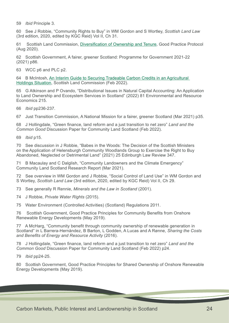<span id="page-26-0"></span>[59](#page-13-0) *Ibid* Principle 3.

[60](#page-13-0) See J Robbie, "Community Rights to Buy" in WM Gordon and S Wortley, *Scottish Land Law* (3rd edition, 2020, edited by KGC Reid) Vol II, Ch 31.

[61](#page-13-0) Scottish Land Commission, [Diversification of Ownership and Tenure](https://www.landcommission.gov.scot/downloads/5f32ffc5a6c87_LRRS%20Protocol%20on%20Diversification%20of%20Ownership%20and%20Tenure.pdf), Good Practice Protocol (Aug 2020).

[62](#page-13-0) Scottish Government, A fairer, greener Scotland: Programme for Government 2021-22 (2021) p86.

[63](#page-13-0) WCC p6 and PLC p2.

[64](#page-13-0) B McIntosh, [An Interim Guide to Securing Tradeable Carbon Credits in an Agricultural](https://www.landcommission.gov.scot/downloads/6225dd8ba66c1_TFC%20Interim%20Guide%20to%20Securing%20Tradeable%20Carbon%20Credits%20in%20an%20Agricultural%20Holdings%20Situation.pdf)  [Holdings Situation](https://www.landcommission.gov.scot/downloads/6225dd8ba66c1_TFC%20Interim%20Guide%20to%20Securing%20Tradeable%20Carbon%20Credits%20in%20an%20Agricultural%20Holdings%20Situation.pdf), Scottish Land Commission (Feb 2022).

[65](#page-14-0) G Atkinson and P Ovando, "Distributional Issues in Natural Capital Accounting: An Application to Land Ownership and Ecosystem Services in Scotland" (2022) 81 Environmental and Resource Economics 215.

[66](#page-14-0) *Ibid* pp236-237.

[67](#page-14-0) Just Transition Commission, A National Mission for a fairer, greener Scotland (Mar 2021) p35.

[68](#page-14-0) J Hollingdale, "Green finance, land reform and a just transition to net zero" *Land and the Common Good* Discussion Paper for Community Land Scotland (Feb 2022).

[69](#page-14-0) *Ibid* p15.

[70](#page-14-0) See discussion in J Robbie, "Babes in the Woods: The Decision of the Scottish Ministers on the Application of Helensburgh Community Woodlands Group to Exercise the Right to Buy Abandoned, Neglected or Detrimental Land" (2021) 25 Edinburgh Law Review 347.

[71](#page-14-0) B Macaulay and C Dalglish, "Community Landowners and the Climate Emergency" Community Land Scotland Research Report (Mar 2021).

[72](#page-15-0) See overview in WM Gordon and J Robbie, "Social Control of Land Use" in WM Gordon and S Wortley, *Scottish Land Law* (3rd edition, 2020, edited by KGC Reid) Vol II, Ch 29.

[73](#page-15-0) See generally R Rennie, *Minerals and the Law in Scotland* (2001).

[74](#page-16-0) J Robbie, *Private Water Rights* (2015).

[75](#page-16-0) Water Environment (Controlled Activities) (Scotland) Regulations 2011.

[76](#page-16-0) Scottish Government, Good Practice Principles for Community Benefits from Onshore Renewable Energy Developments (May 2019).

[77](#page-16-0) A McHarg, "Community benefit through community ownership of renewable generation in Scotland" in L Barrera-Hernåndez, B Barton, L Godden, A Lucas and A Rønne, *Sharing the Costs and Benefits of Energy and Resource Activity* (2016).

[78](#page-16-0) J Hollingdale, "Green finance, land reform and a just transition to net zero" *Land and the Common Good* Discussion Paper for Community Land Scotland (Feb 2022) p24.

[79](#page-16-0) *Ibid* pp24-25.

[80](#page-16-0) Scottish Government, Good Practice Principles for Shared Ownership of Onshore Renewable Energy Developments (May 2019).